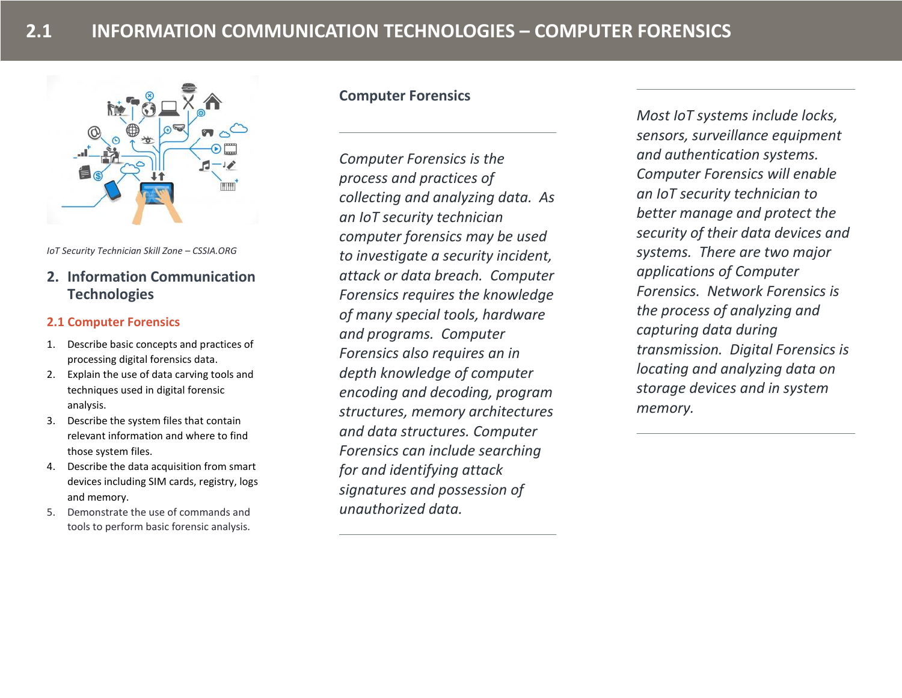

*IoT Security Technician Skill Zone – CSSIA.ORG*

# **2. Information Communication Technologies**

### **2.1 Computer Forensics**

- 1. Describe basic concepts and practices of processing digital forensics data.
- 2. Explain the use of data carving tools and techniques used in digital forensic analysis.
- 3. Describe the system files that contain relevant information and where to find those system files.
- 4. Describe the data acquisition from smart devices including SIM cards, registry, logs and memory.
- 5. Demonstrate the use of commands and tools to perform basic forensic analysis.

# **Computer Forensics**

*Computer Forensics is the process and practices of collecting and analyzing data. As an IoT security technician computer forensics may be used to investigate a security incident, attack or data breach. Computer Forensics requires the knowledge of many special tools, hardware and programs. Computer Forensics also requires an in depth knowledge of computer encoding and decoding, program structures, memory architectures and data structures. Computer Forensics can include searching for and identifying attack signatures and possession of unauthorized data.* 

*Most IoT systems include locks, sensors, surveillance equipment and authentication systems. Computer Forensics will enable an IoT security technician to better manage and protect the security of their data devices and systems. There are two major applications of Computer Forensics. Network Forensics is the process of analyzing and capturing data during transmission. Digital Forensics is locating and analyzing data on storage devices and in system memory.*